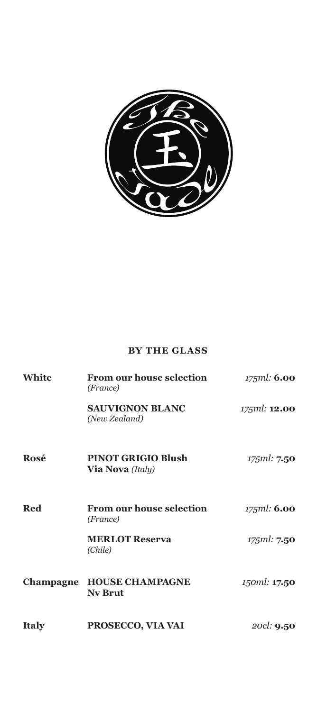

### **BY THE GLASS**

| White        | <b>From our house selection</b><br>(France)          | 175ml: 6.00         |
|--------------|------------------------------------------------------|---------------------|
|              | <b>SAUVIGNON BLANC</b><br>(New Zealand)              | 175ml: <b>12.00</b> |
| Rosé         | <b>PINOT GRIGIO Blush</b><br><b>Via Nova</b> (Italy) | 175ml: 7.50         |
| <b>Red</b>   | <b>From our house selection</b><br>(France)          | 175ml: <b>6.00</b>  |
|              | <b>MERLOT Reserva</b><br>(Chile)                     | 175ml: 7.50         |
| Champagne    | <b>HOUSE CHAMPAGNE</b><br><b>Nv Brut</b>             | 150ml: 17.50        |
| <b>Italy</b> | PROSECCO, VIA VAI                                    | 20cl: <b>9.50</b>   |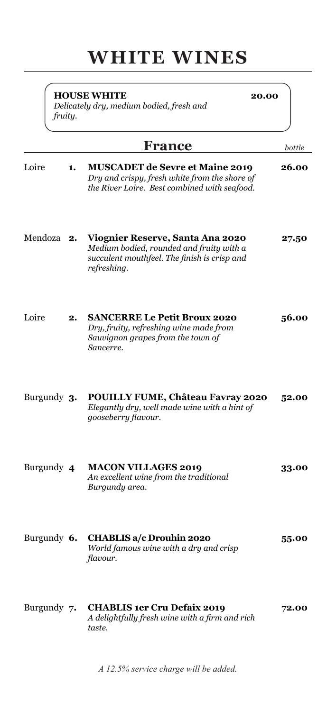# **WHITE WINES**

|             | fruity. | <b>HOUSE WHITE</b><br>20.00<br>Delicately dry, medium bodied, fresh and                                                                     |        |
|-------------|---------|---------------------------------------------------------------------------------------------------------------------------------------------|--------|
|             |         | France                                                                                                                                      | bottle |
| Loire       | 1.      | <b>MUSCADET de Sevre et Maine 2019</b><br>Dry and crispy, fresh white from the shore of<br>the River Loire. Best combined with seafood.     | 26.00  |
| Mendoza 2.  |         | Viognier Reserve, Santa Ana 2020<br>Medium bodied, rounded and fruity with a<br>succulent mouthfeel. The finish is crisp and<br>refreshing. | 27.50  |
| Loire       | 2.      | <b>SANCERRE Le Petit Broux 2020</b><br>Dry, fruity, refreshing wine made from<br>Sauvignon grapes from the town of<br>Sancerre.             | 56.00  |
| Burgundy 3. |         | POUILLY FUME, Château Favray 2020<br>Elegantly dry, well made wine with a hint of<br>gooseberry flavour.                                    | 52.00  |
| Burgundy 4  |         | <b>MACON VILLAGES 2019</b><br>An excellent wine from the traditional<br>Burgundy area.                                                      | 33.00  |
| Burgundy 6. |         | <b>CHABLIS a/c Drouhin 2020</b><br>World famous wine with a dry and crisp<br>flavour.                                                       | 55.00  |
| Burgundy 7. |         | <b>CHABLIS 1er Cru Defaix 2019</b><br>A delightfully fresh wine with a firm and rich<br>taste.                                              | 72.00  |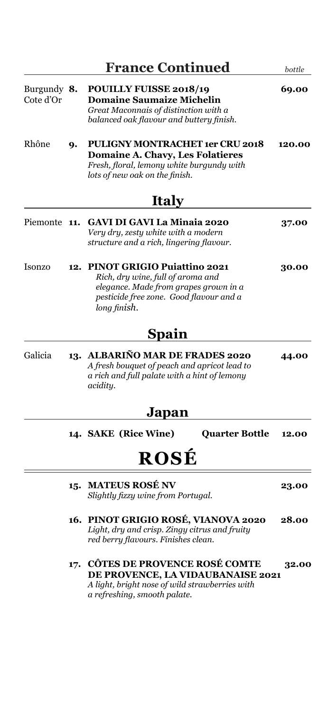| Burgundy 8.<br>Cote d'Or |     | <b>POUILLY FUISSE 2018/19</b><br><b>Domaine Saumaize Michelin</b><br>Great Maconnais of distinction with a<br>balanced oak flavour and buttery finish.                      |        |
|--------------------------|-----|-----------------------------------------------------------------------------------------------------------------------------------------------------------------------------|--------|
| Rhône                    | 9.  | <b>PULIGNY MONTRACHET 1er CRU 2018</b><br>Domaine A. Chavy, Les Folatieres<br>Fresh, floral, lemony white burgundy with<br>lots of new oak on the finish.                   | 120.00 |
|                          |     | <b>Italy</b>                                                                                                                                                                |        |
| Piemonte                 | 11. | <b>GAVI DI GAVI La Minaia 2020</b><br>Very dry, zesty white with a modern<br>structure and a rich, lingering flavour.                                                       | 37.00  |
| <b>Isonzo</b>            | 12. | <b>PINOT GRIGIO Puiattino 2021</b><br>Rich, dry wine, full of aroma and<br>elegance. Made from grapes grown in a<br>pesticide free zone. Good flavour and a<br>long finish. | 30.00  |
|                          |     | Spain                                                                                                                                                                       |        |
| Galicia                  |     | 13. ALBARIÑO MAR DE FRADES 2020<br>A fresh bouquet of peach and apricot lead to<br>a rich and full palate with a hint of lemony<br>acidity.                                 | 44.00  |
|                          |     | Japan                                                                                                                                                                       |        |
|                          |     | 14. SAKE (Rice Wine)<br><b>Quarter Bottle</b>                                                                                                                               | 12.00  |
|                          |     | ROSÉ                                                                                                                                                                        |        |
|                          |     | 15. MATEUS ROSÉ NV<br>Slightly fizzy wine from Portugal.                                                                                                                    | 23.00  |
|                          |     | 16. PINOT GRIGIO ROSÉ, VIANOVA 2020                                                                                                                                         | 28.00  |

*Light, dry and crisp. Zingy citrus and fruity red berry flavours. Finishes clean.*

**17. CÔTES DE PROVENCE ROSÉ COMTE 32.00 DE PROVENCE, LA VIDAUBANAISE 2021** *A light, bright nose of wild strawberries with a refreshing, smooth palate.*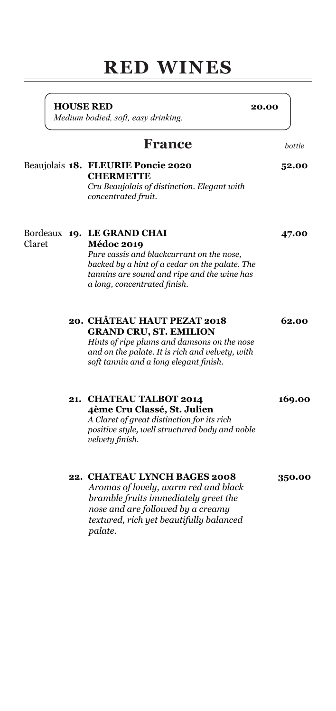# **RED WINES**

**HOUSE RED 20.00**

*Medium bodied, soft, easy drinking.*

### **France** *bottle*

### Beaujolais **18. FLEURIE Poncie 2020 52.00 CHERMETTE** *Cru Beaujolais of distinction. Elegant with concentrated fruit.*

Bordeaux **19. LE GRAND CHAI 47.00** Claret **Médoc 2019**

*Pure cassis and blackcurrant on the nose, backed by a hint of a cedar on the palate. The tannins are sound and ripe and the wine has a long, concentrated finish.*

### **20. CHÂTEAU HAUT PEZAT 2018 62.00 GRAND CRU, ST. EMILION**

*Hints of ripe plums and damsons on the nose and on the palate. It is rich and velvety, with soft tannin and a long elegant finish.*

**21. CHATEAU TALBOT 2014 169.00**

 **4ème Cru Classé, St. Julien**  *A Claret of great distinction for its rich positive style, well structured body and noble velvety finish.*

### **22. CHATEAU LYNCH BAGES 2008 350.00**

*Aromas of lovely, warm red and black bramble fruits immediately greet the nose and are followed by a creamy textured, rich yet beautifully balanced palate.*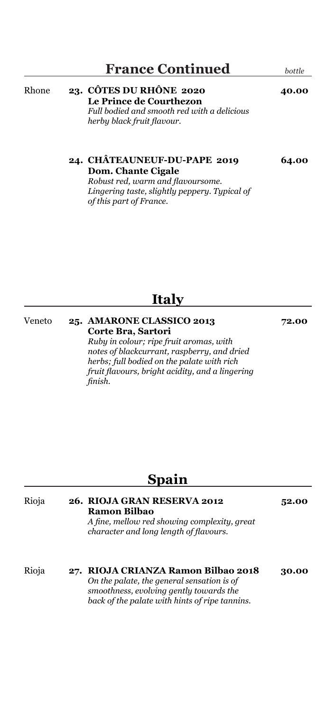### **France Continued** *bottle*

### Rhone **23. CÔTES DU RHÔNE 2020 40.00 Le Prince de Courthezon** *Full bodied and smooth red with a delicious herby black fruit flavour.*

### **24. CHÂTEAUNEUF-DU-PAPE 2019 64.00 Dom. Chante Cigale**

*Robust red, warm and flavoursome. Lingering taste, slightly peppery. Typical of of this part of France.*

## **Italy**

| Veneto | 25. AMARONE CLASSICO 2013                       | 72.00 |
|--------|-------------------------------------------------|-------|
|        | Corte Bra, Sartori                              |       |
|        | Ruby in colour; ripe fruit aromas, with         |       |
|        | notes of blackcurrant, raspberry, and dried     |       |
|        | herbs; full bodied on the palate with rich      |       |
|        | fruit flavours, bright acidity, and a lingering |       |
|        | finish.                                         |       |
|        |                                                 |       |

### **Spain**

| Rioja | 26. RIOJA GRAN RESERVA 2012<br><b>Ramon Bilbao</b><br>A fine, mellow red showing complexity, great<br>character and long length of flavours.                                   | 52.00 |
|-------|--------------------------------------------------------------------------------------------------------------------------------------------------------------------------------|-------|
| Rioja | 27. RIOJA CRIANZA Ramon Bilbao 2018<br>On the palate, the general sensation is of<br>smoothness, evolving gently towards the<br>back of the palate with hints of ripe tannins. | 30.00 |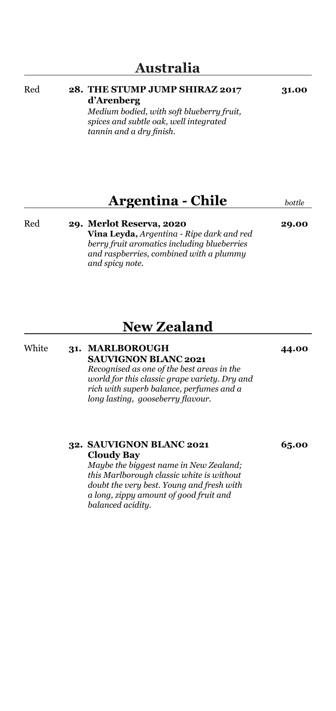### Red **28. THE STUMP JUMP SHIRAZ 2017 31.00 d'Arenberg**

*Medium bodied, with soft blueberry fruit, spices and subtle oak, well integrated tannin and a dry finish.*

## **Argentina - Chile** *bottle*

Red **29. Merlot Reserva, 2020 29.00**

**Vina Leyda,** *Argentina - Ripe dark and red berry fruit aromatics including blueberries and raspberries, combined with a plummy and spicy note.*

## **New Zealand**

White **31. MARLBOROUGH 44.00 SAUVIGNON BLANC 2021** *Recognised as one of the best areas in the world for this classic grape variety. Dry and rich with superb balance, perfumes and a long lasting, gooseberry flavour.*

> **32. SAUVIGNON BLANC 2021 65.00 Cloudy Bay**

*Maybe the biggest name in New Zealand; this Marlborough classic white is without doubt the very best. Young and fresh with a long, zippy amount of good fruit and balanced acidity.*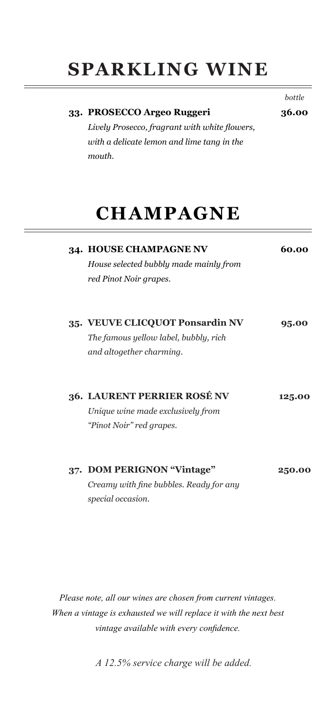# **SPARKLING WINE**

| with a delicate lemon and lime tang in the<br>mouth.                                                 |        |
|------------------------------------------------------------------------------------------------------|--------|
| <b>CHAMPAGNE</b>                                                                                     |        |
| 34. HOUSE CHAMPAGNE NV<br>House selected bubbly made mainly from<br>red Pinot Noir grapes.           | 60.00  |
| 35. VEUVE CLICQUOT Ponsardin NV<br>The famous yellow label, bubbly, rich<br>and altogether charming. | 95.00  |
| 36. LAURENT PERRIER ROSÉ NV<br>Unique wine made exclusively from<br>"Pinot Noir" red grapes.         | 125.00 |
| 37. DOM PERIGNON "Vintage"<br>Creamy with fine bubbles. Ready for any<br>special occasion.           | 250.00 |

*Please note, all our wines are chosen from current vintages. When a vintage is exhausted we will replace it with the next best vintage available with every confidence.*

*A 12.5% service charge will be added.*

*bottle*

## **33. PROSECCO Argeo Ruggeri 36.00** *Lively Prosecco, fragrant with white flowers,*